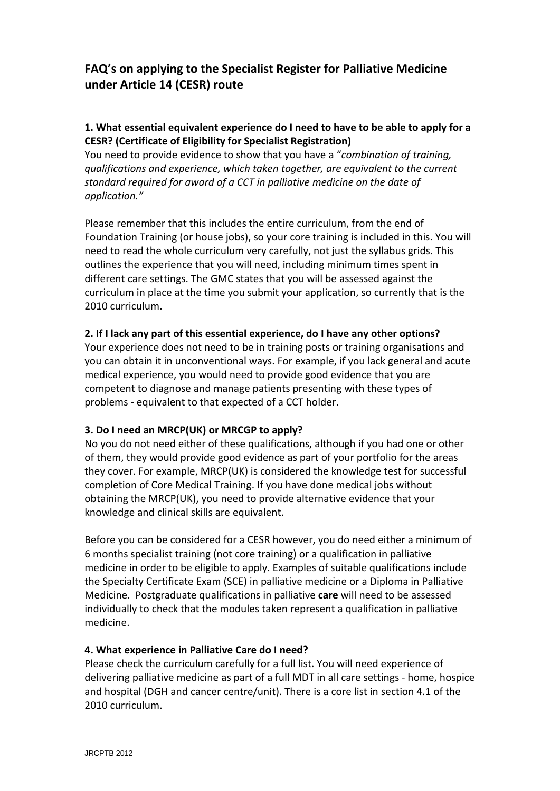# **FAQ's on applying to the Specialist Register for Palliative Medicine under Article 14 (CESR) route**

### **1. What essential equivalent experience do I need to have to be able to apply for a CESR? (Certificate of Eligibility for Specialist Registration)**

You need to provide evidence to show that you have a "*combination of training, qualifications and experience, which taken together, are equivalent to the current standard required for award of a CCT in palliative medicine on the date of application."* 

Please remember that this includes the entire curriculum, from the end of Foundation Training (or house jobs), so your core training is included in this. You will need to read the whole curriculum very carefully, not just the syllabus grids. This outlines the experience that you will need, including minimum times spent in different care settings. The GMC states that you will be assessed against the curriculum in place at the time you submit your application, so currently that is the 2010 curriculum.

### **2. If I lack any part of this essential experience, do I have any other options?**

Your experience does not need to be in training posts or training organisations and you can obtain it in unconventional ways. For example, if you lack general and acute medical experience, you would need to provide good evidence that you are competent to diagnose and manage patients presenting with these types of problems - equivalent to that expected of a CCT holder.

### **3. Do I need an MRCP(UK) or MRCGP to apply?**

No you do not need either of these qualifications, although if you had one or other of them, they would provide good evidence as part of your portfolio for the areas they cover. For example, MRCP(UK) is considered the knowledge test for successful completion of Core Medical Training. If you have done medical jobs without obtaining the MRCP(UK), you need to provide alternative evidence that your knowledge and clinical skills are equivalent.

Before you can be considered for a CESR however, you do need either a minimum of 6 months specialist training (not core training) or a qualification in palliative medicine in order to be eligible to apply. Examples of suitable qualifications include the Specialty Certificate Exam (SCE) in palliative medicine or a Diploma in Palliative Medicine. Postgraduate qualifications in palliative **care** will need to be assessed individually to check that the modules taken represent a qualification in palliative medicine.

### **4. What experience in Palliative Care do I need?**

Please check the curriculum carefully for a full list. You will need experience of delivering palliative medicine as part of a full MDT in all care settings - home, hospice and hospital (DGH and cancer centre/unit). There is a core list in section 4.1 of the 2010 curriculum.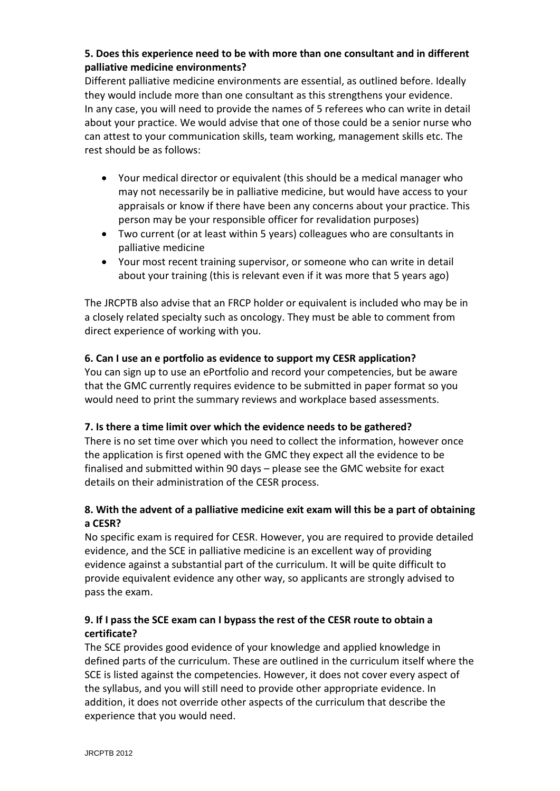## **5. Does this experience need to be with more than one consultant and in different palliative medicine environments?**

Different palliative medicine environments are essential, as outlined before. Ideally they would include more than one consultant as this strengthens your evidence. In any case, you will need to provide the names of 5 referees who can write in detail about your practice. We would advise that one of those could be a senior nurse who can attest to your communication skills, team working, management skills etc. The rest should be as follows:

- Your medical director or equivalent (this should be a medical manager who may not necessarily be in palliative medicine, but would have access to your appraisals or know if there have been any concerns about your practice. This person may be your responsible officer for revalidation purposes)
- Two current (or at least within 5 years) colleagues who are consultants in palliative medicine
- Your most recent training supervisor, or someone who can write in detail about your training (this is relevant even if it was more that 5 years ago)

The JRCPTB also advise that an FRCP holder or equivalent is included who may be in a closely related specialty such as oncology. They must be able to comment from direct experience of working with you.

### **6. Can I use an e portfolio as evidence to support my CESR application?**

You can sign up to use an ePortfolio and record your competencies, but be aware that the GMC currently requires evidence to be submitted in paper format so you would need to print the summary reviews and workplace based assessments.

#### **7. Is there a time limit over which the evidence needs to be gathered?**

There is no set time over which you need to collect the information, however once the application is first opened with the GMC they expect all the evidence to be finalised and submitted within 90 days – please see the GMC website for exact details on their administration of the CESR process.

### **8. With the advent of a palliative medicine exit exam will this be a part of obtaining a CESR?**

No specific exam is required for CESR. However, you are required to provide detailed evidence, and the SCE in palliative medicine is an excellent way of providing evidence against a substantial part of the curriculum. It will be quite difficult to provide equivalent evidence any other way, so applicants are strongly advised to pass the exam.

### **9. If I pass the SCE exam can I bypass the rest of the CESR route to obtain a certificate?**

The SCE provides good evidence of your knowledge and applied knowledge in defined parts of the curriculum. These are outlined in the curriculum itself where the SCE is listed against the competencies. However, it does not cover every aspect of the syllabus, and you will still need to provide other appropriate evidence. In addition, it does not override other aspects of the curriculum that describe the experience that you would need.